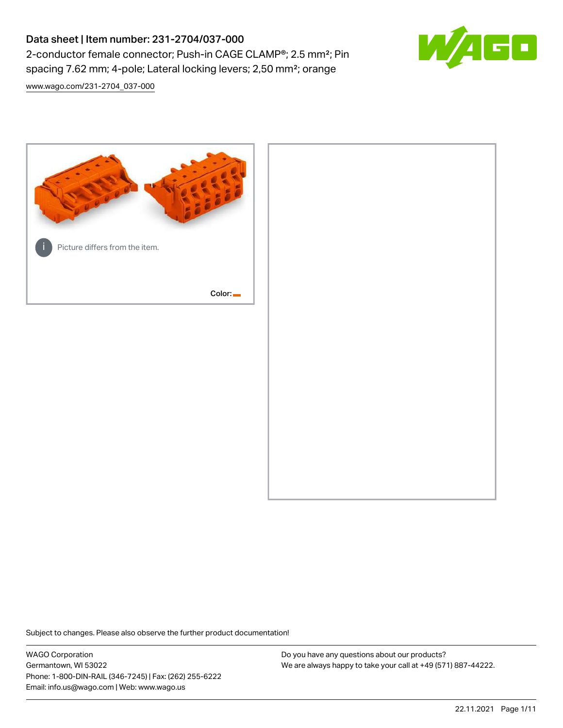# Data sheet | Item number: 231-2704/037-000 2-conductor female connector; Push-in CAGE CLAMP®; 2.5 mm²; Pin spacing 7.62 mm; 4-pole; Lateral locking levers; 2,50 mm²; orange



[www.wago.com/231-2704\\_037-000](http://www.wago.com/231-2704_037-000)



Subject to changes. Please also observe the further product documentation!

WAGO Corporation Germantown, WI 53022 Phone: 1-800-DIN-RAIL (346-7245) | Fax: (262) 255-6222 Email: info.us@wago.com | Web: www.wago.us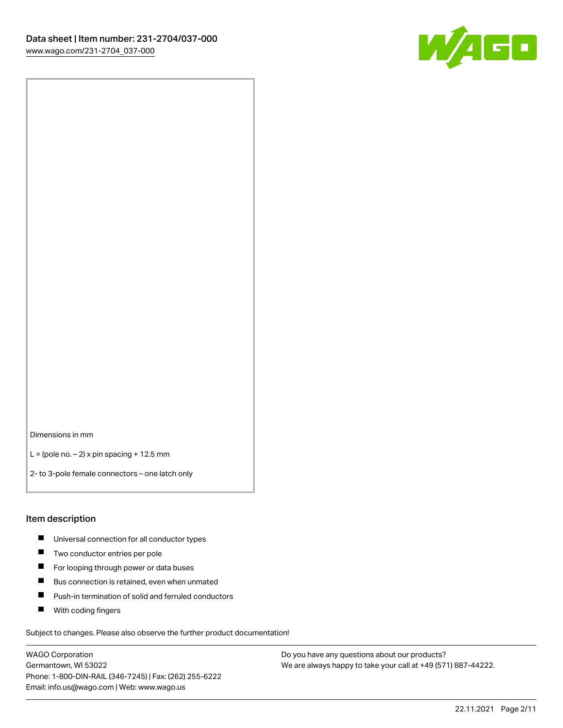

Dimensions in mm

 $L =$  (pole no.  $-2$ ) x pin spacing + 12.5 mm

2- to 3-pole female connectors – one latch only

#### Item description

- **Universal connection for all conductor types**
- **Two conductor entries per pole**
- $\blacksquare$ For looping through power or data buses
- $\blacksquare$ Bus connection is retained, even when unmated
- $\blacksquare$ Push-in termination of solid and ferruled conductors
- $\blacksquare$ With coding fingers

Subject to changes. Please also observe the further product documentation!

WAGO Corporation Germantown, WI 53022 Phone: 1-800-DIN-RAIL (346-7245) | Fax: (262) 255-6222 Email: info.us@wago.com | Web: www.wago.us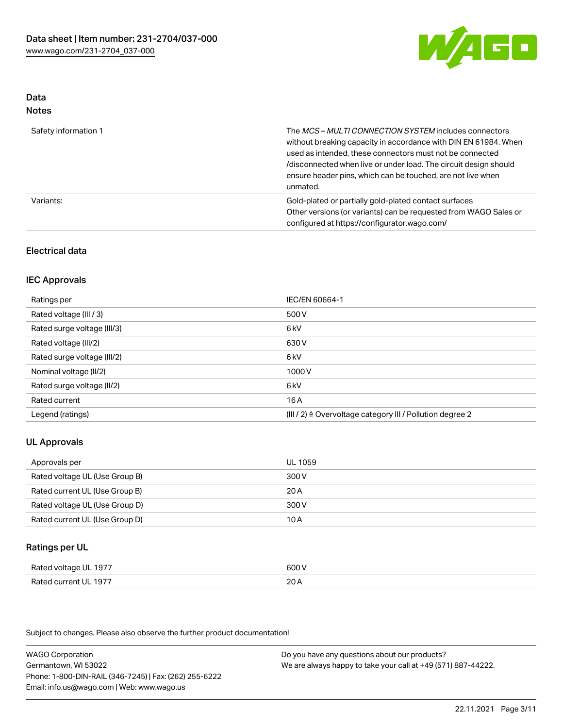

#### Data Notes

| .                    |                                                                                                                                                                                                                                                                                                                                   |
|----------------------|-----------------------------------------------------------------------------------------------------------------------------------------------------------------------------------------------------------------------------------------------------------------------------------------------------------------------------------|
| Safety information 1 | The MCS-MULTI CONNECTION SYSTEM includes connectors<br>without breaking capacity in accordance with DIN EN 61984. When<br>used as intended, these connectors must not be connected<br>/disconnected when live or under load. The circuit design should<br>ensure header pins, which can be touched, are not live when<br>unmated. |
| Variants:            | Gold-plated or partially gold-plated contact surfaces<br>Other versions (or variants) can be requested from WAGO Sales or<br>configured at https://configurator.wago.com/                                                                                                                                                         |

## Electrical data

## IEC Approvals

| Ratings per                 | IEC/EN 60664-1                                                        |
|-----------------------------|-----------------------------------------------------------------------|
| Rated voltage (III / 3)     | 500 V                                                                 |
| Rated surge voltage (III/3) | 6 <sub>k</sub> V                                                      |
| Rated voltage (III/2)       | 630 V                                                                 |
| Rated surge voltage (III/2) | 6 <sub>k</sub> V                                                      |
| Nominal voltage (II/2)      | 1000 V                                                                |
| Rated surge voltage (II/2)  | 6 kV                                                                  |
| Rated current               | 16 A                                                                  |
| Legend (ratings)            | $(III / 2)$ $\triangle$ Overvoltage category III / Pollution degree 2 |

# UL Approvals

| Approvals per                  | UL 1059 |
|--------------------------------|---------|
| Rated voltage UL (Use Group B) | 300 V   |
| Rated current UL (Use Group B) | 20 A    |
| Rated voltage UL (Use Group D) | 300 V   |
| Rated current UL (Use Group D) | 10 A    |

## Ratings per UL

| Rated voltage UL 1977 | 600 V |
|-----------------------|-------|
| Rated current UL 1977 | 20A   |

Subject to changes. Please also observe the further product documentation!

WAGO Corporation Germantown, WI 53022 Phone: 1-800-DIN-RAIL (346-7245) | Fax: (262) 255-6222 Email: info.us@wago.com | Web: www.wago.us Do you have any questions about our products? We are always happy to take your call at +49 (571) 887-44222.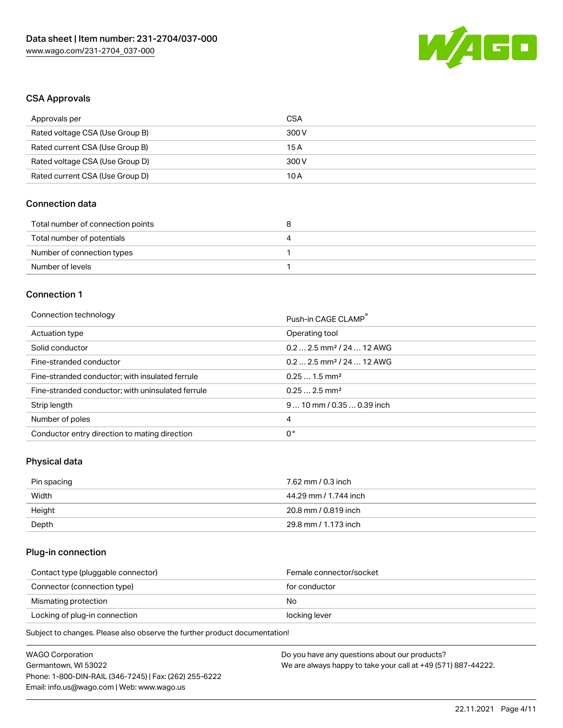

## CSA Approvals

| Approvals per                   | CSA   |
|---------------------------------|-------|
| Rated voltage CSA (Use Group B) | 300 V |
| Rated current CSA (Use Group B) | 15 A  |
| Rated voltage CSA (Use Group D) | 300 V |
| Rated current CSA (Use Group D) | 10 A  |

# Connection data

| Total number of connection points | ວ |
|-----------------------------------|---|
| Total number of potentials        | ↵ |
| Number of connection types        |   |
| Number of levels                  |   |

# Connection 1

#### Connection technology **Push-in CAGE CLAMP<sup>®</sup>**

| ັ                                                 | Push-in CAGE CLAMP                    |
|---------------------------------------------------|---------------------------------------|
| Actuation type                                    | Operating tool                        |
| Solid conductor                                   | $0.22.5$ mm <sup>2</sup> / 24  12 AWG |
| Fine-stranded conductor                           | $0.22.5$ mm <sup>2</sup> / 24  12 AWG |
| Fine-stranded conductor; with insulated ferrule   | $0.251.5$ mm <sup>2</sup>             |
| Fine-stranded conductor; with uninsulated ferrule | $0.252.5$ mm <sup>2</sup>             |
| Strip length                                      | $910$ mm / 0.35  0.39 inch            |
| Number of poles                                   | 4                                     |
| Conductor entry direction to mating direction     | 0°                                    |

# Physical data

| Pin spacing | 7.62 mm / 0.3 inch    |
|-------------|-----------------------|
| Width       | 44.29 mm / 1.744 inch |
| Height      | 20.8 mm / 0.819 inch  |
| Depth       | 29.8 mm / 1.173 inch  |

## Plug-in connection

| Contact type (pluggable connector) | Female connector/socket |
|------------------------------------|-------------------------|
| Connector (connection type)        | for conductor           |
| Mismating protection               | No                      |
| Locking of plug-in connection      | locking lever           |
|                                    |                         |

Subject to changes. Please also observe the further product documentation!

| WAGO Corporation                                       | Do you have any questions about our products?                 |
|--------------------------------------------------------|---------------------------------------------------------------|
| Germantown, WI 53022                                   | We are always happy to take your call at +49 (571) 887-44222. |
| Phone: 1-800-DIN-RAIL (346-7245)   Fax: (262) 255-6222 |                                                               |
| Email: info.us@wago.com   Web: www.wago.us             |                                                               |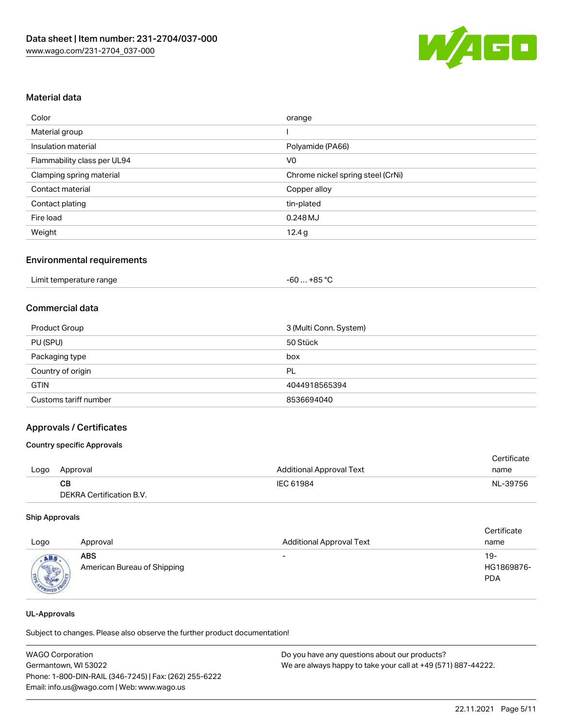

## Material data

| Color                       | orange                            |
|-----------------------------|-----------------------------------|
| Material group              |                                   |
| Insulation material         | Polyamide (PA66)                  |
| Flammability class per UL94 | V <sub>0</sub>                    |
| Clamping spring material    | Chrome nickel spring steel (CrNi) |
| Contact material            | Copper alloy                      |
| Contact plating             | tin-plated                        |
| Fire load                   | $0.248$ MJ                        |
| Weight                      | 12.4g                             |

#### Environmental requirements

|  | Limit temperature range | $-60+85 °C$ |  |
|--|-------------------------|-------------|--|
|--|-------------------------|-------------|--|

## Commercial data

| Product Group         | 3 (Multi Conn. System) |
|-----------------------|------------------------|
| PU (SPU)              | 50 Stück               |
| Packaging type        | box                    |
| Country of origin     | PL                     |
| <b>GTIN</b>           | 4044918565394          |
| Customs tariff number | 8536694040             |

### Approvals / Certificates

#### Country specific Approvals

|      |                          |                                 | Certificate |
|------|--------------------------|---------------------------------|-------------|
| Logo | Approval                 | <b>Additional Approval Text</b> | name        |
|      | CB.                      | IEC 61984                       | NL-39756    |
|      | DEKRA Certification B.V. |                                 |             |

#### Ship Approvals

| Logo | Approval                                  | <b>Additional Approval Text</b> | Certificate<br>name             |
|------|-------------------------------------------|---------------------------------|---------------------------------|
| ABS  | <b>ABS</b><br>American Bureau of Shipping | $\overline{\phantom{a}}$        | 19-<br>HG1869876-<br><b>PDA</b> |

#### UL-Approvals

Subject to changes. Please also observe the further product documentation!

| <b>WAGO Corporation</b>                                | Do you have any questions about our products?                 |
|--------------------------------------------------------|---------------------------------------------------------------|
| Germantown, WI 53022                                   | We are always happy to take your call at +49 (571) 887-44222. |
| Phone: 1-800-DIN-RAIL (346-7245)   Fax: (262) 255-6222 |                                                               |
| Email: info.us@wago.com   Web: www.wago.us             |                                                               |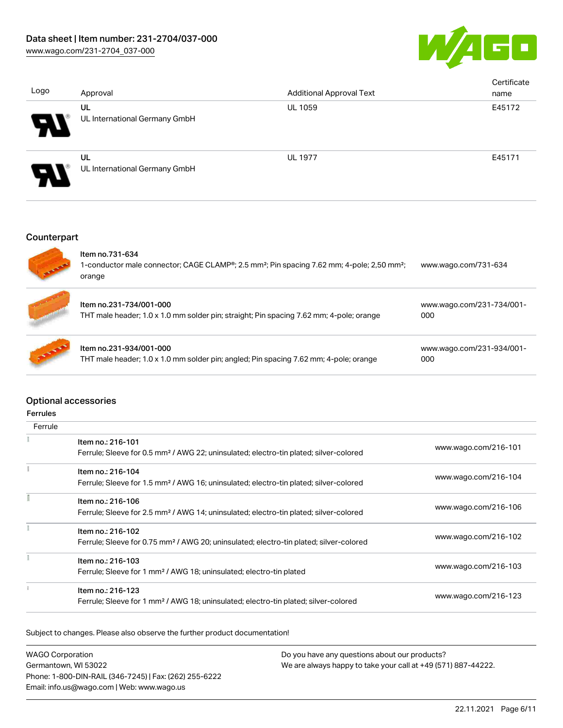

| Logo                       | Approval                            | <b>Additional Approval Text</b> | Certificate<br>name |
|----------------------------|-------------------------------------|---------------------------------|---------------------|
| $\boldsymbol{\mathcal{A}}$ | UL<br>UL International Germany GmbH | <b>UL 1059</b>                  | E45172              |
| $\boldsymbol{\mathcal{P}}$ | UL<br>UL International Germany GmbH | <b>UL 1977</b>                  | E45171              |

# Counterpart

|               | Item no.731-634<br>1-conductor male connector; CAGE CLAMP®; 2.5 mm <sup>2</sup> ; Pin spacing 7.62 mm; 4-pole; 2,50 mm <sup>2</sup> ;<br>orange | www.wago.com/731-634             |
|---------------|-------------------------------------------------------------------------------------------------------------------------------------------------|----------------------------------|
|               | Item no.231-734/001-000<br>THT male header; 1.0 x 1.0 mm solder pin; straight; Pin spacing 7.62 mm; 4-pole; orange                              | www.wago.com/231-734/001-<br>000 |
| <b>ALLING</b> | Item no.231-934/001-000<br>THT male header; 1.0 x 1.0 mm solder pin; angled; Pin spacing 7.62 mm; 4-pole; orange                                | www.wago.com/231-934/001-<br>000 |

# Optional accessories

| errule |
|--------|
|--------|

| Ferrule |                                                                                                                         |                      |
|---------|-------------------------------------------------------------------------------------------------------------------------|----------------------|
|         | Item no.: 216-101<br>Ferrule; Sleeve for 0.5 mm <sup>2</sup> / AWG 22; uninsulated; electro-tin plated; silver-colored  | www.wago.com/216-101 |
|         | Item no.: 216-104<br>Ferrule; Sleeve for 1.5 mm <sup>2</sup> / AWG 16; uninsulated; electro-tin plated; silver-colored  | www.wago.com/216-104 |
|         | Item no.: 216-106<br>Ferrule; Sleeve for 2.5 mm <sup>2</sup> / AWG 14; uninsulated; electro-tin plated; silver-colored  | www.wago.com/216-106 |
|         | Item no.: 216-102<br>Ferrule; Sleeve for 0.75 mm <sup>2</sup> / AWG 20; uninsulated; electro-tin plated; silver-colored | www.wago.com/216-102 |
|         | Item no.: 216-103<br>Ferrule; Sleeve for 1 mm <sup>2</sup> / AWG 18; uninsulated; electro-tin plated                    | www.wago.com/216-103 |
|         | Item no.: 216-123<br>Ferrule; Sleeve for 1 mm <sup>2</sup> / AWG 18; uninsulated; electro-tin plated; silver-colored    | www.wago.com/216-123 |

Subject to changes. Please also observe the further product documentation!

| <b>WAGO Corporation</b>                                | Do you have any questions about our products?                 |
|--------------------------------------------------------|---------------------------------------------------------------|
| Germantown, WI 53022                                   | We are always happy to take your call at +49 (571) 887-44222. |
| Phone: 1-800-DIN-RAIL (346-7245)   Fax: (262) 255-6222 |                                                               |
| Email: info.us@wago.com   Web: www.wago.us             |                                                               |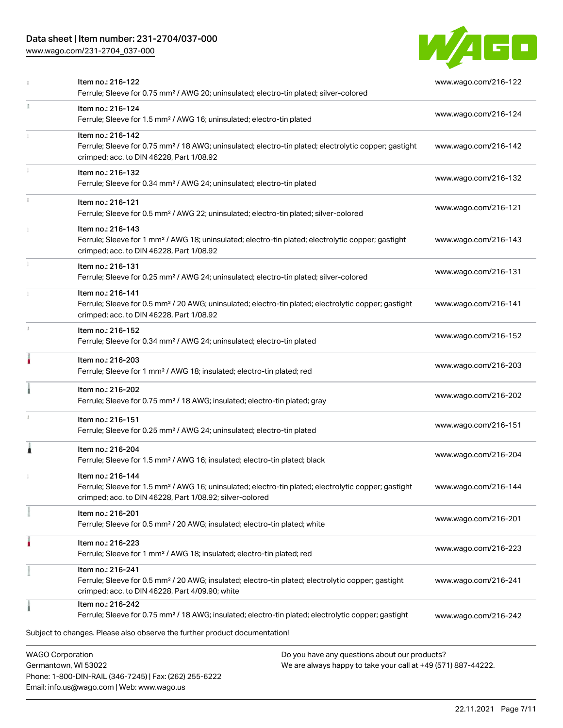# Data sheet | Item number: 231-2704/037-000

Phone: 1-800-DIN-RAIL (346-7245) | Fax: (262) 255-6222

Email: info.us@wago.com | Web: www.wago.us

[www.wago.com/231-2704\\_037-000](http://www.wago.com/231-2704_037-000)



|                                                 | Item no.: 216-122<br>Ferrule; Sleeve for 0.75 mm <sup>2</sup> / AWG 20; uninsulated; electro-tin plated; silver-colored                                                                           |                                                                                                                | www.wago.com/216-122 |
|-------------------------------------------------|---------------------------------------------------------------------------------------------------------------------------------------------------------------------------------------------------|----------------------------------------------------------------------------------------------------------------|----------------------|
| I.                                              | Item no.: 216-124<br>Ferrule; Sleeve for 1.5 mm <sup>2</sup> / AWG 16; uninsulated; electro-tin plated                                                                                            |                                                                                                                | www.wago.com/216-124 |
|                                                 | Item no.: 216-142<br>Ferrule; Sleeve for 0.75 mm <sup>2</sup> / 18 AWG; uninsulated; electro-tin plated; electrolytic copper; gastight<br>crimped; acc. to DIN 46228, Part 1/08.92                |                                                                                                                | www.wago.com/216-142 |
|                                                 | Item no.: 216-132<br>Ferrule; Sleeve for 0.34 mm <sup>2</sup> / AWG 24; uninsulated; electro-tin plated                                                                                           |                                                                                                                | www.wago.com/216-132 |
|                                                 | Item no.: 216-121<br>Ferrule; Sleeve for 0.5 mm <sup>2</sup> / AWG 22; uninsulated; electro-tin plated; silver-colored                                                                            |                                                                                                                | www.wago.com/216-121 |
|                                                 | Item no.: 216-143<br>Ferrule; Sleeve for 1 mm <sup>2</sup> / AWG 18; uninsulated; electro-tin plated; electrolytic copper; gastight<br>crimped; acc. to DIN 46228, Part 1/08.92                   |                                                                                                                | www.wago.com/216-143 |
|                                                 | Item no.: 216-131<br>Ferrule; Sleeve for 0.25 mm <sup>2</sup> / AWG 24; uninsulated; electro-tin plated; silver-colored                                                                           |                                                                                                                | www.wago.com/216-131 |
|                                                 | Item no.: 216-141<br>Ferrule; Sleeve for 0.5 mm <sup>2</sup> / 20 AWG; uninsulated; electro-tin plated; electrolytic copper; gastight<br>crimped; acc. to DIN 46228, Part 1/08.92                 |                                                                                                                | www.wago.com/216-141 |
|                                                 | Item no.: 216-152<br>Ferrule; Sleeve for 0.34 mm <sup>2</sup> / AWG 24; uninsulated; electro-tin plated                                                                                           |                                                                                                                | www.wago.com/216-152 |
|                                                 | Item no.: 216-203<br>Ferrule; Sleeve for 1 mm <sup>2</sup> / AWG 18; insulated; electro-tin plated; red                                                                                           |                                                                                                                | www.wago.com/216-203 |
|                                                 | Item no.: 216-202<br>Ferrule; Sleeve for 0.75 mm <sup>2</sup> / 18 AWG; insulated; electro-tin plated; gray                                                                                       |                                                                                                                | www.wago.com/216-202 |
|                                                 | Item no.: 216-151<br>Ferrule; Sleeve for 0.25 mm <sup>2</sup> / AWG 24; uninsulated; electro-tin plated                                                                                           |                                                                                                                | www.wago.com/216-151 |
| Â                                               | Item no.: 216-204<br>Ferrule; Sleeve for 1.5 mm <sup>2</sup> / AWG 16; insulated; electro-tin plated; black                                                                                       |                                                                                                                | www.wago.com/216-204 |
|                                                 | Item no.: 216-144<br>Ferrule: Sleeve for 1.5 mm <sup>2</sup> / AWG 16: uninsulated: electro-tin plated: electrolytic copper: gastight<br>crimped; acc. to DIN 46228, Part 1/08.92; silver-colored |                                                                                                                | www.wago.com/216-144 |
|                                                 | Item no.: 216-201<br>Ferrule; Sleeve for 0.5 mm <sup>2</sup> / 20 AWG; insulated; electro-tin plated; white                                                                                       |                                                                                                                | www.wago.com/216-201 |
|                                                 | Item no.: 216-223<br>Ferrule; Sleeve for 1 mm <sup>2</sup> / AWG 18; insulated; electro-tin plated; red                                                                                           |                                                                                                                | www.wago.com/216-223 |
|                                                 | Item no.: 216-241<br>Ferrule; Sleeve for 0.5 mm <sup>2</sup> / 20 AWG; insulated; electro-tin plated; electrolytic copper; gastight<br>crimped; acc. to DIN 46228, Part 4/09.90; white            |                                                                                                                | www.wago.com/216-241 |
|                                                 | Item no.: 216-242<br>Ferrule; Sleeve for 0.75 mm <sup>2</sup> / 18 AWG; insulated; electro-tin plated; electrolytic copper; gastight                                                              |                                                                                                                | www.wago.com/216-242 |
|                                                 | Subject to changes. Please also observe the further product documentation!                                                                                                                        |                                                                                                                |                      |
| <b>WAGO Corporation</b><br>Germantown, WI 53022 |                                                                                                                                                                                                   | Do you have any questions about our products?<br>We are always happy to take your call at +49 (571) 887-44222. |                      |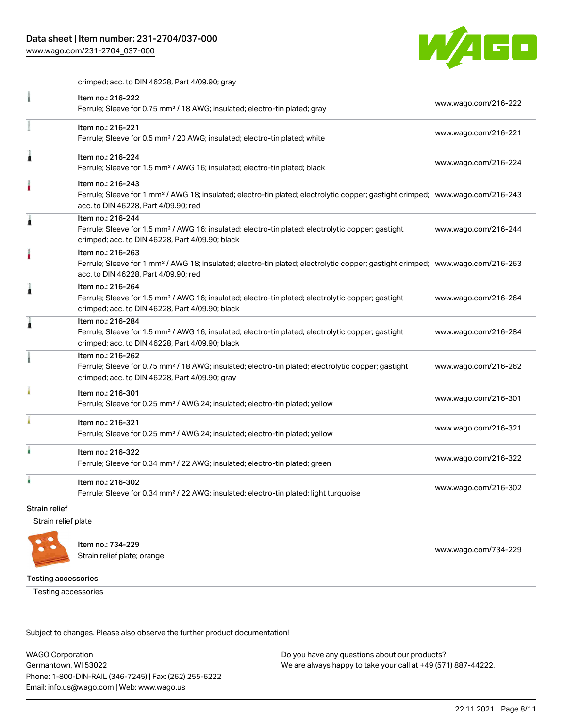[www.wago.com/231-2704\\_037-000](http://www.wago.com/231-2704_037-000)



crimped; acc. to DIN 46228, Part 4/09.90; gray

|                     | Item no.: 216-222<br>Ferrule; Sleeve for 0.75 mm <sup>2</sup> / 18 AWG; insulated; electro-tin plated; gray                                                                                             | www.wago.com/216-222 |
|---------------------|---------------------------------------------------------------------------------------------------------------------------------------------------------------------------------------------------------|----------------------|
|                     | Item no.: 216-221<br>Ferrule; Sleeve for 0.5 mm <sup>2</sup> / 20 AWG; insulated; electro-tin plated; white                                                                                             | www.wago.com/216-221 |
|                     | Item no.: 216-224<br>Ferrule; Sleeve for 1.5 mm <sup>2</sup> / AWG 16; insulated; electro-tin plated; black                                                                                             | www.wago.com/216-224 |
|                     | Item no.: 216-243<br>Ferrule; Sleeve for 1 mm <sup>2</sup> / AWG 18; insulated; electro-tin plated; electrolytic copper; gastight crimped; www.wago.com/216-243<br>acc. to DIN 46228, Part 4/09.90; red |                      |
|                     | Item no.: 216-244<br>Ferrule; Sleeve for 1.5 mm <sup>2</sup> / AWG 16; insulated; electro-tin plated; electrolytic copper; gastight<br>crimped; acc. to DIN 46228, Part 4/09.90; black                  | www.wago.com/216-244 |
|                     | Item no.: 216-263<br>Ferrule; Sleeve for 1 mm <sup>2</sup> / AWG 18; insulated; electro-tin plated; electrolytic copper; gastight crimped; www.wago.com/216-263<br>acc. to DIN 46228, Part 4/09.90; red |                      |
|                     | Item no.: 216-264<br>Ferrule; Sleeve for 1.5 mm <sup>2</sup> / AWG 16; insulated; electro-tin plated; electrolytic copper; gastight<br>crimped; acc. to DIN 46228, Part 4/09.90; black                  | www.wago.com/216-264 |
|                     | Item no.: 216-284<br>Ferrule; Sleeve for 1.5 mm <sup>2</sup> / AWG 16; insulated; electro-tin plated; electrolytic copper; gastight<br>crimped; acc. to DIN 46228, Part 4/09.90; black                  | www.wago.com/216-284 |
|                     | Item no.: 216-262<br>Ferrule; Sleeve for 0.75 mm <sup>2</sup> / 18 AWG; insulated; electro-tin plated; electrolytic copper; gastight<br>crimped; acc. to DIN 46228, Part 4/09.90; gray                  | www.wago.com/216-262 |
|                     | Item no.: 216-301<br>Ferrule; Sleeve for 0.25 mm <sup>2</sup> / AWG 24; insulated; electro-tin plated; yellow                                                                                           | www.wago.com/216-301 |
|                     | Item no.: 216-321<br>Ferrule; Sleeve for 0.25 mm <sup>2</sup> / AWG 24; insulated; electro-tin plated; yellow                                                                                           | www.wago.com/216-321 |
|                     | Item no.: 216-322<br>Ferrule; Sleeve for 0.34 mm <sup>2</sup> / 22 AWG; insulated; electro-tin plated; green                                                                                            | www.wago.com/216-322 |
|                     | Item no.: 216-302<br>Ferrule; Sleeve for 0.34 mm <sup>2</sup> / 22 AWG; insulated; electro-tin plated; light turquoise                                                                                  | www.wago.com/216-302 |
| Strain relief       |                                                                                                                                                                                                         |                      |
| Strain relief plate |                                                                                                                                                                                                         |                      |
|                     |                                                                                                                                                                                                         |                      |



Item no.: 734-229 Strain relief plate; orange [www.wago.com/734-229](http://www.wago.com/734-229)

Testing accessories

Testing accessories

Subject to changes. Please also observe the further product documentation!

WAGO Corporation Germantown, WI 53022 Phone: 1-800-DIN-RAIL (346-7245) | Fax: (262) 255-6222 Email: info.us@wago.com | Web: www.wago.us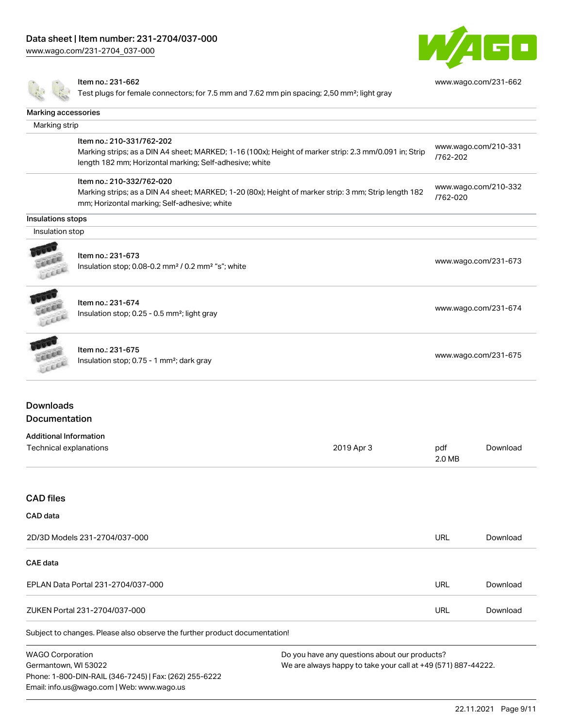[www.wago.com/231-2704\\_037-000](http://www.wago.com/231-2704_037-000)



[www.wago.com/231-662](http://www.wago.com/231-662)

#### Item no.: 231-662

Test plugs for female connectors; for 7.5 mm and 7.62 mm pin spacing; 2,50 mm²; light gray

| Marking accessories                      |                                                                                                                                                                                                |            |               |                      |
|------------------------------------------|------------------------------------------------------------------------------------------------------------------------------------------------------------------------------------------------|------------|---------------|----------------------|
| Marking strip                            |                                                                                                                                                                                                |            |               |                      |
|                                          | Item no.: 210-331/762-202<br>Marking strips; as a DIN A4 sheet; MARKED; 1-16 (100x); Height of marker strip: 2.3 mm/0.091 in; Strip<br>length 182 mm; Horizontal marking; Self-adhesive; white |            | /762-202      | www.wago.com/210-331 |
|                                          | Item no.: 210-332/762-020<br>Marking strips; as a DIN A4 sheet; MARKED; 1-20 (80x); Height of marker strip: 3 mm; Strip length 182<br>mm; Horizontal marking; Self-adhesive; white             |            | /762-020      | www.wago.com/210-332 |
| Insulations stops                        |                                                                                                                                                                                                |            |               |                      |
| Insulation stop                          |                                                                                                                                                                                                |            |               |                      |
| Lecci                                    | Item no.: 231-673<br>Insulation stop; 0.08-0.2 mm <sup>2</sup> / 0.2 mm <sup>2</sup> "s"; white                                                                                                |            |               | www.wago.com/231-673 |
| Leece                                    | Item no.: 231-674<br>Insulation stop; 0.25 - 0.5 mm <sup>2</sup> ; light gray                                                                                                                  |            |               | www.wago.com/231-674 |
|                                          | Item no.: 231-675<br>Insulation stop; 0.75 - 1 mm <sup>2</sup> ; dark gray                                                                                                                     |            |               | www.wago.com/231-675 |
| <b>Downloads</b><br><b>Documentation</b> |                                                                                                                                                                                                |            |               |                      |
| <b>Additional Information</b>            |                                                                                                                                                                                                |            |               |                      |
| Technical explanations                   |                                                                                                                                                                                                | 2019 Apr 3 | pdf<br>2.0 MB | Download             |
| <b>CAD files</b>                         |                                                                                                                                                                                                |            |               |                      |

#### CAD data

| 2D/3D Models 231-2704/037-000                                              | URL        | Download |
|----------------------------------------------------------------------------|------------|----------|
| <b>CAE data</b>                                                            |            |          |
| EPLAN Data Portal 231-2704/037-000                                         | <b>URL</b> | Download |
| ZUKEN Portal 231-2704/037-000                                              | URL        | Download |
| Subject to changes. Please also observe the further product documentation! |            |          |

WAGO Corporation Germantown, WI 53022 Phone: 1-800-DIN-RAIL (346-7245) | Fax: (262) 255-6222 Email: info.us@wago.com | Web: www.wago.us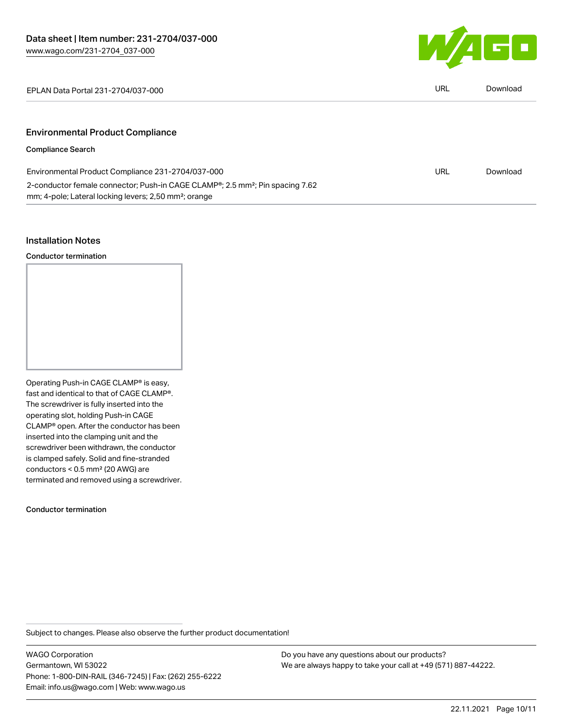

EPLAN Data Portal 231-2704/037-000 URL [Download](https://www.wago.com/global/d/EPLAN_URLS_231-2704_037-000)

| IRL | Download |
|-----|----------|

# Environmental Product Compliance

## Compliance Search

| Environmental Product Compliance 231-2704/037-000                                                      | URL | Download |
|--------------------------------------------------------------------------------------------------------|-----|----------|
| 2-conductor female connector; Push-in CAGE CLAMP <sup>®</sup> ; 2.5 mm <sup>2</sup> ; Pin spacing 7.62 |     |          |
| mm; 4-pole; Lateral locking levers; 2,50 mm <sup>2</sup> ; orange                                      |     |          |

#### Installation Notes

Conductor termination

Operating Push-in CAGE CLAMP® is easy, fast and identical to that of CAGE CLAMP®. The screwdriver is fully inserted into the operating slot, holding Push-in CAGE CLAMP® open. After the conductor has been inserted into the clamping unit and the screwdriver been withdrawn, the conductor is clamped safely. Solid and fine-stranded conductors < 0.5 mm² (20 AWG) are terminated and removed using a screwdriver.

Conductor termination

Subject to changes. Please also observe the further product documentation!

WAGO Corporation Germantown, WI 53022 Phone: 1-800-DIN-RAIL (346-7245) | Fax: (262) 255-6222 Email: info.us@wago.com | Web: www.wago.us